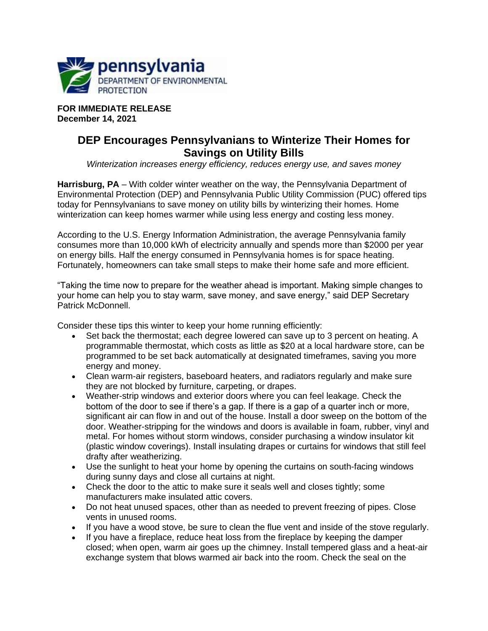

**FOR IMMEDIATE RELEASE December 14, 2021** 

## **DEP Encourages Pennsylvanians to Winterize Their Homes for Savings on Utility Bills**

*Winterization increases energy efficiency, reduces energy use, and saves money* 

**Harrisburg, PA** – With colder winter weather on the way, the Pennsylvania Department of Environmental Protection (DEP) and Pennsylvania Public Utility Commission (PUC) offered tips today for Pennsylvanians to save money on utility bills by winterizing their homes. Home winterization can keep homes warmer while using less energy and costing less money.

According to the U.S. Energy Information Administration, the average Pennsylvania family consumes more than 10,000 kWh of electricity annually and spends more than \$2000 per year on energy bills. Half the energy consumed in Pennsylvania homes is for space heating. Fortunately, homeowners can take small steps to make their home safe and more efficient.

"Taking the time now to prepare for the weather ahead is important. Making simple changes to your home can help you to stay warm, save money, and save energy," said DEP Secretary Patrick McDonnell.

Consider these tips this winter to keep your home running efficiently:

- Set back the thermostat; each degree lowered can save up to 3 percent on heating. A programmable thermostat, which costs as little as \$20 at a local hardware store, can be programmed to be set back automatically at designated timeframes, saving you more energy and money.
- Clean warm-air registers, baseboard heaters, and radiators regularly and make sure they are not blocked by furniture, carpeting, or drapes.
- Weather-strip windows and exterior doors where you can feel leakage. Check the bottom of the door to see if there's a gap. If there is a gap of a quarter inch or more, significant air can flow in and out of the house. Install a door sweep on the bottom of the door. Weather-stripping for the windows and doors is available in foam, rubber, vinyl and metal. For homes without storm windows, consider purchasing a window insulator kit (plastic window coverings). Install insulating drapes or curtains for windows that still feel drafty after weatherizing.
- Use the sunlight to heat your home by opening the curtains on south-facing windows during sunny days and close all curtains at night.
- Check the door to the attic to make sure it seals well and closes tightly; some manufacturers make insulated attic covers.
- Do not heat unused spaces, other than as needed to prevent freezing of pipes. Close vents in unused rooms.
- If you have a wood stove, be sure to clean the flue vent and inside of the stove regularly.
- If you have a fireplace, reduce heat loss from the fireplace by keeping the damper closed; when open, warm air goes up the chimney. Install tempered glass and a heat-air exchange system that blows warmed air back into the room. Check the seal on the